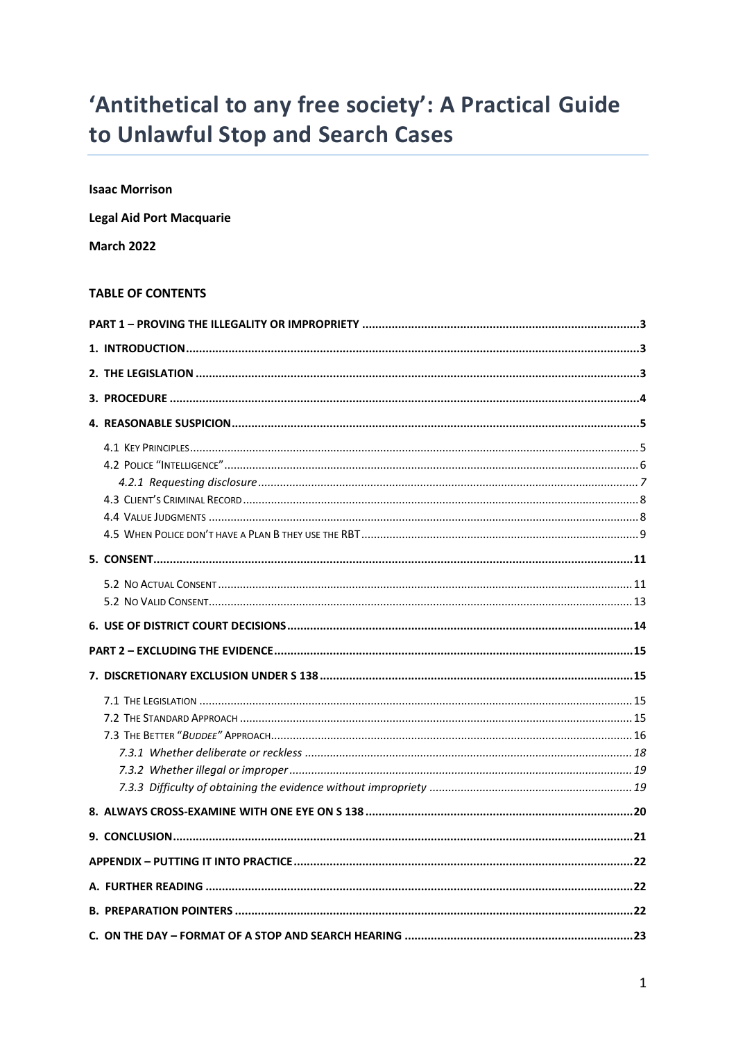# 'Antithetical to any free society': A Practical Guide to Unlawful Stop and Search Cases

**Isaac Morrison** 

**Legal Aid Port Macquarie** 

**March 2022** 

#### **TABLE OF CONTENTS**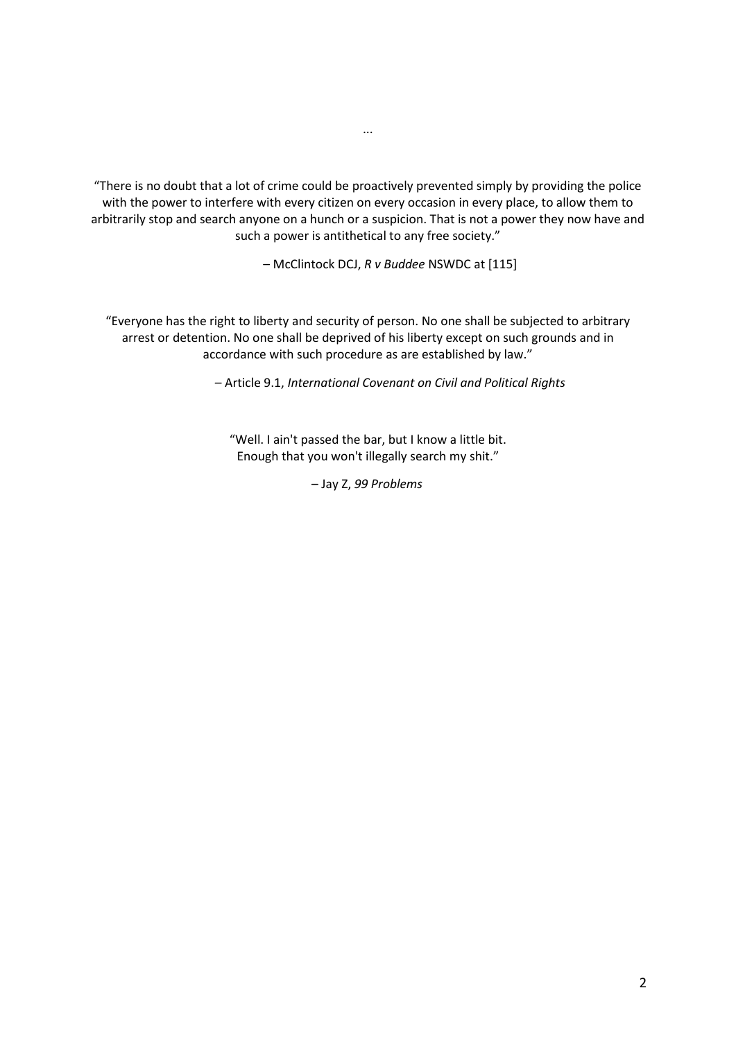"There is no doubt that a lot of crime could be proactively prevented simply by providing the police with the power to interfere with every citizen on every occasion in every place, to allow them to arbitrarily stop and search anyone on a hunch or a suspicion. That is not a power they now have and such a power is antithetical to any free society."

...

– McClintock DCJ, *R v Buddee* NSWDC at [115]

"Everyone has the right to liberty and security of person. No one shall be subjected to arbitrary arrest or detention. No one shall be deprived of his liberty except on such grounds and in accordance with such procedure as are established by law."

– Article 9.1, *International Covenant on Civil and Political Rights*

"Well. I ain't passed the bar, but I know a little bit. Enough that you won't illegally search my shit."

– Jay Z, *99 Problems*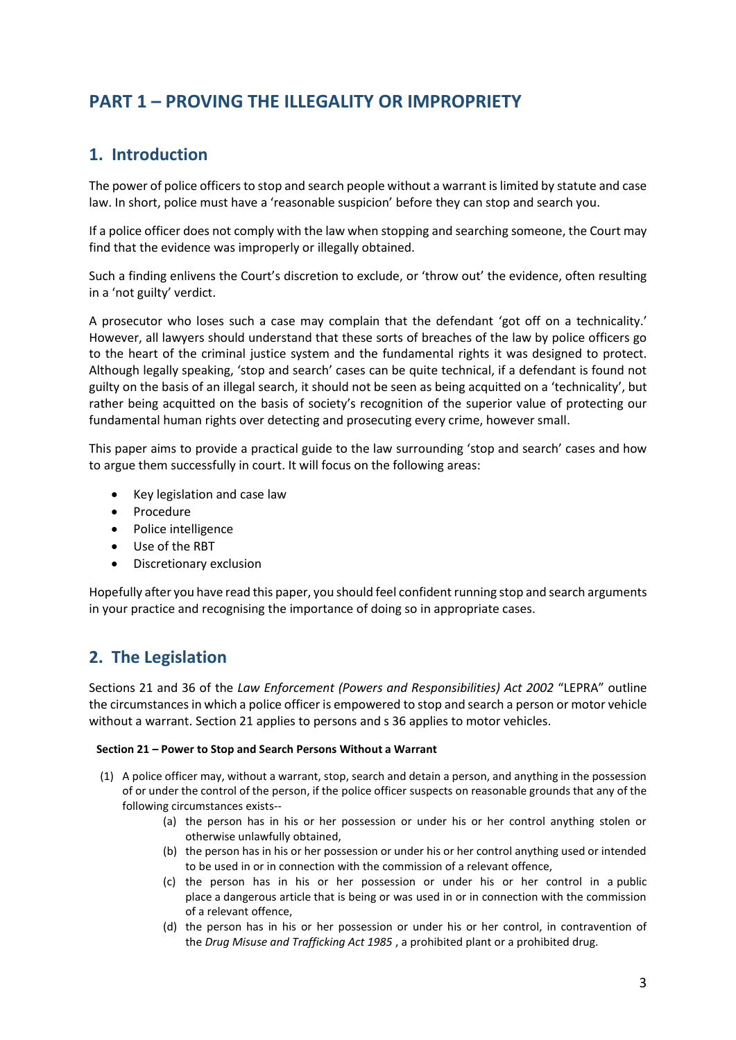# **PART 1 – PROVING THE ILLEGALITY OR IMPROPRIETY**

# **1. Introduction**

The power of police officers to stop and search people without a warrant is limited by statute and case law. In short, police must have a 'reasonable suspicion' before they can stop and search you.

If a police officer does not comply with the law when stopping and searching someone, the Court may find that the evidence was improperly or illegally obtained.

Such a finding enlivens the Court's discretion to exclude, or 'throw out' the evidence, often resulting in a 'not guilty' verdict.

A prosecutor who loses such a case may complain that the defendant 'got off on a technicality.' However, all lawyers should understand that these sorts of breaches of the law by police officers go to the heart of the criminal justice system and the fundamental rights it was designed to protect. Although legally speaking, 'stop and search' cases can be quite technical, if a defendant is found not guilty on the basis of an illegal search, it should not be seen as being acquitted on a 'technicality', but rather being acquitted on the basis of society's recognition of the superior value of protecting our fundamental human rights over detecting and prosecuting every crime, however small.

This paper aims to provide a practical guide to the law surrounding 'stop and search' cases and how to argue them successfully in court. It will focus on the following areas:

- Key legislation and case law
- Procedure
- Police intelligence
- Use of the RBT
- Discretionary exclusion

Hopefully after you have read this paper, you should feel confident running stop and search arguments in your practice and recognising the importance of doing so in appropriate cases.

# **2. The Legislation**

Sections 21 and 36 of the *Law Enforcement (Powers and Responsibilities) Act 2002* "LEPRA" outline the circumstances in which a police officer is empowered to stop and search a person or motor vehicle without a warrant. Section 21 applies to persons and s 36 applies to motor vehicles.

#### **Section 21 – Power to Stop and Search Persons Without a Warrant**

- (1) A police officer may, without a warrant, stop, search and detain a person, and anything in the possession of or under the control of the person, if the police officer suspects on reasonable grounds that any of the following circumstances exists--
	- (a) the person has in his or her possession or under his or her control anything stolen or otherwise unlawfully obtained,
	- (b) the person has in his or her possession or under his or her control anything used or intended to be used in or in connection with the commission of a relevant offence,
	- (c) the person has in his or her possession or under his or her control in a public place a dangerous article that is being or was used in or in connection with the commission of a relevant offence,
	- (d) the person has in his or her possession or under his or her control, in contravention of the *Drug Misuse and Trafficking Act 1985* , a prohibited plant or a prohibited drug.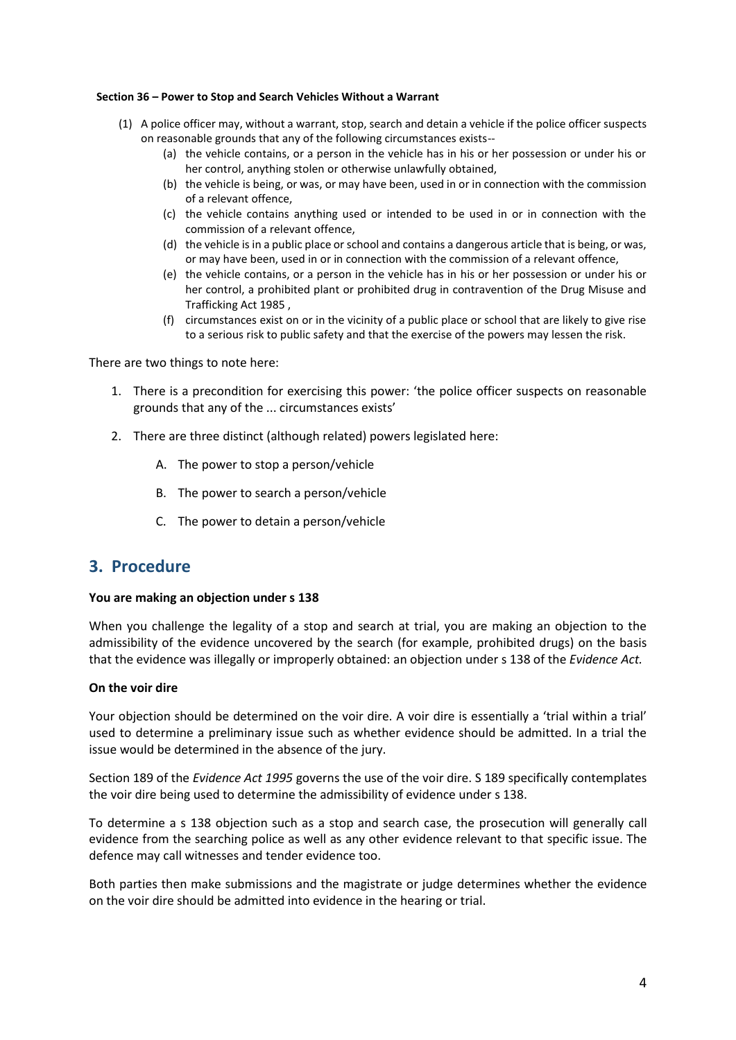#### **Section 36 – Power to Stop and Search Vehicles Without a Warrant**

- (1) A police officer may, without a warrant, stop, search and detain a vehicle if the police officer suspects on reasonable grounds that any of the following circumstances exists--
	- (a) the vehicle contains, or a person in the vehicle has in his or her possession or under his or her control, anything stolen or otherwise unlawfully obtained,
	- (b) the vehicle is being, or was, or may have been, used in or in connection with the commission of a relevant offence,
	- (c) the vehicle contains anything used or intended to be used in or in connection with the commission of a relevant offence,
	- (d) the vehicle is in a public place or school and contains a dangerous article that is being, or was, or may have been, used in or in connection with the commission of a relevant offence,
	- (e) the vehicle contains, or a person in the vehicle has in his or her possession or under his or her control, a prohibited plant or prohibited drug in contravention of the Drug Misuse and Trafficking Act 1985 ,
	- (f) circumstances exist on or in the vicinity of a public place or school that are likely to give rise to a serious risk to public safety and that the exercise of the powers may lessen the risk.

There are two things to note here:

- 1. There is a precondition for exercising this power: 'the police officer suspects on reasonable grounds that any of the ... circumstances exists'
- 2. There are three distinct (although related) powers legislated here:
	- A. The power to stop a person/vehicle
	- B. The power to search a person/vehicle
	- C. The power to detain a person/vehicle

### **3. Procedure**

#### **You are making an objection under s 138**

When you challenge the legality of a stop and search at trial, you are making an objection to the admissibility of the evidence uncovered by the search (for example, prohibited drugs) on the basis that the evidence was illegally or improperly obtained: an objection under s 138 of the *Evidence Act.*

#### **On the voir dire**

Your objection should be determined on the voir dire. A voir dire is essentially a 'trial within a trial' used to determine a preliminary issue such as whether evidence should be admitted. In a trial the issue would be determined in the absence of the jury.

Section 189 of the *Evidence Act 1995* governs the use of the voir dire. S 189 specifically contemplates the voir dire being used to determine the admissibility of evidence under s 138.

To determine a s 138 objection such as a stop and search case, the prosecution will generally call evidence from the searching police as well as any other evidence relevant to that specific issue. The defence may call witnesses and tender evidence too.

Both parties then make submissions and the magistrate or judge determines whether the evidence on the voir dire should be admitted into evidence in the hearing or trial.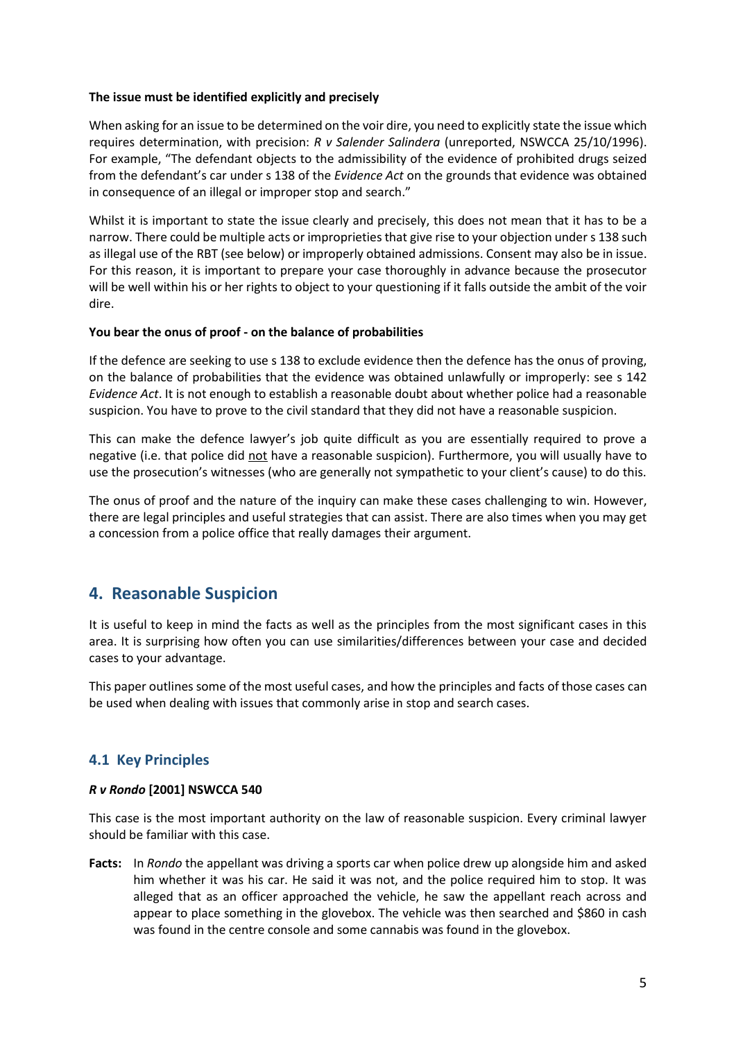#### **The issue must be identified explicitly and precisely**

When asking for an issue to be determined on the voir dire, you need to explicitly state the issue which requires determination, with precision: *R v Salender Salindera* (unreported, NSWCCA 25/10/1996). For example, "The defendant objects to the admissibility of the evidence of prohibited drugs seized from the defendant's car under s 138 of the *Evidence Act* on the grounds that evidence was obtained in consequence of an illegal or improper stop and search."

Whilst it is important to state the issue clearly and precisely, this does not mean that it has to be a narrow. There could be multiple acts or improprieties that give rise to your objection under s 138 such as illegal use of the RBT (see below) or improperly obtained admissions. Consent may also be in issue. For this reason, it is important to prepare your case thoroughly in advance because the prosecutor will be well within his or her rights to object to your questioning if it falls outside the ambit of the voir dire.

#### **You bear the onus of proof - on the balance of probabilities**

If the defence are seeking to use s 138 to exclude evidence then the defence has the onus of proving, on the balance of probabilities that the evidence was obtained unlawfully or improperly: see s 142 *Evidence Act*. It is not enough to establish a reasonable doubt about whether police had a reasonable suspicion. You have to prove to the civil standard that they did not have a reasonable suspicion.

This can make the defence lawyer's job quite difficult as you are essentially required to prove a negative (i.e. that police did not have a reasonable suspicion). Furthermore, you will usually have to use the prosecution's witnesses (who are generally not sympathetic to your client's cause) to do this.

The onus of proof and the nature of the inquiry can make these cases challenging to win. However, there are legal principles and useful strategies that can assist. There are also times when you may get a concession from a police office that really damages their argument.

# **4. Reasonable Suspicion**

It is useful to keep in mind the facts as well as the principles from the most significant cases in this area. It is surprising how often you can use similarities/differences between your case and decided cases to your advantage.

This paper outlines some of the most useful cases, and how the principles and facts of those cases can be used when dealing with issues that commonly arise in stop and search cases.

### **4.1 Key Principles**

#### *R v Rondo* **[2001] NSWCCA 540**

This case is the most important authority on the law of reasonable suspicion. Every criminal lawyer should be familiar with this case.

**Facts:** In *Rondo* the appellant was driving a sports car when police drew up alongside him and asked him whether it was his car. He said it was not, and the police required him to stop. It was alleged that as an officer approached the vehicle, he saw the appellant reach across and appear to place something in the glovebox. The vehicle was then searched and \$860 in cash was found in the centre console and some cannabis was found in the glovebox.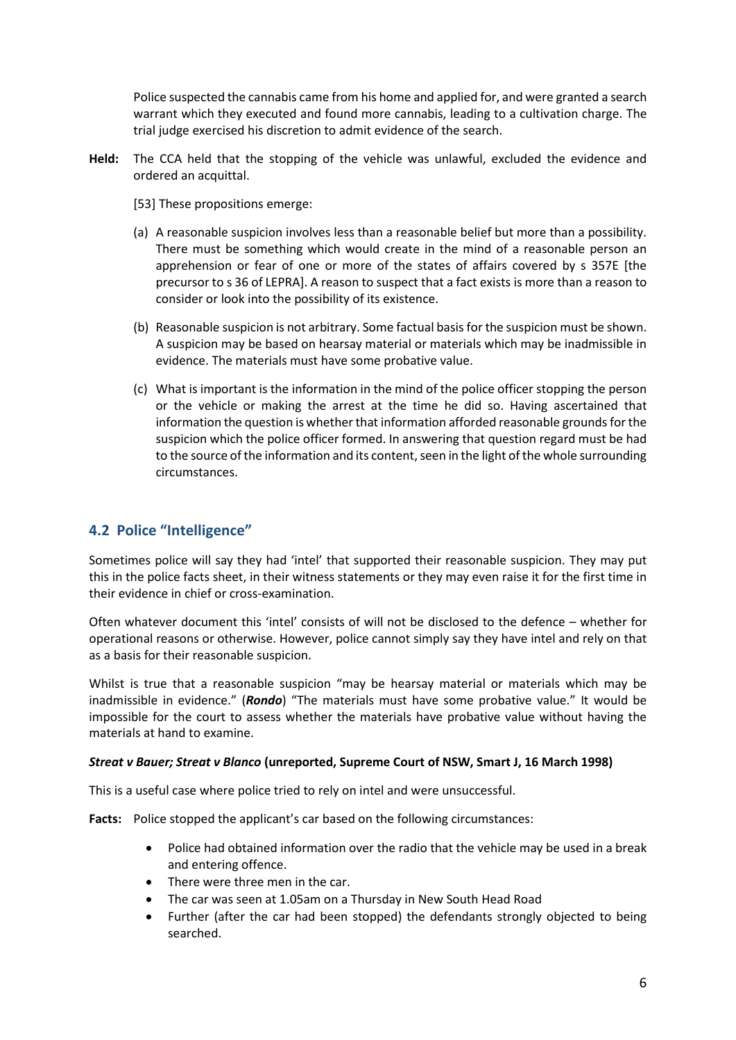Police suspected the cannabis came from his home and applied for, and were granted a search warrant which they executed and found more cannabis, leading to a cultivation charge. The trial judge exercised his discretion to admit evidence of the search.

- **Held:** The CCA held that the stopping of the vehicle was unlawful, excluded the evidence and ordered an acquittal.
	- [53] These propositions emerge:
	- (a) A reasonable suspicion involves less than a reasonable belief but more than a possibility. There must be something which would create in the mind of a reasonable person an apprehension or fear of one or more of the states of affairs covered by s 357E [the precursor to s 36 of LEPRA]. A reason to suspect that a fact exists is more than a reason to consider or look into the possibility of its existence.
	- (b) Reasonable suspicion is not arbitrary. Some factual basis for the suspicion must be shown. A suspicion may be based on hearsay material or materials which may be inadmissible in evidence. The materials must have some probative value.
	- (c) What is important is the information in the mind of the police officer stopping the person or the vehicle or making the arrest at the time he did so. Having ascertained that information the question is whether that information afforded reasonable grounds for the suspicion which the police officer formed. In answering that question regard must be had to the source of the information and its content, seen in the light of the whole surrounding circumstances.

### **4.2 Police "Intelligence"**

Sometimes police will say they had 'intel' that supported their reasonable suspicion. They may put this in the police facts sheet, in their witness statements or they may even raise it for the first time in their evidence in chief or cross-examination.

Often whatever document this 'intel' consists of will not be disclosed to the defence – whether for operational reasons or otherwise. However, police cannot simply say they have intel and rely on that as a basis for their reasonable suspicion.

Whilst is true that a reasonable suspicion "may be hearsay material or materials which may be inadmissible in evidence." (*Rondo*) "The materials must have some probative value." It would be impossible for the court to assess whether the materials have probative value without having the materials at hand to examine.

#### *Streat v Bauer; Streat v Blanco* **(unreported, Supreme Court of NSW, Smart J, 16 March 1998)**

This is a useful case where police tried to rely on intel and were unsuccessful.

**Facts:** Police stopped the applicant's car based on the following circumstances:

- Police had obtained information over the radio that the vehicle may be used in a break and entering offence.
- There were three men in the car.
- The car was seen at 1.05am on a Thursday in New South Head Road
- Further (after the car had been stopped) the defendants strongly objected to being searched.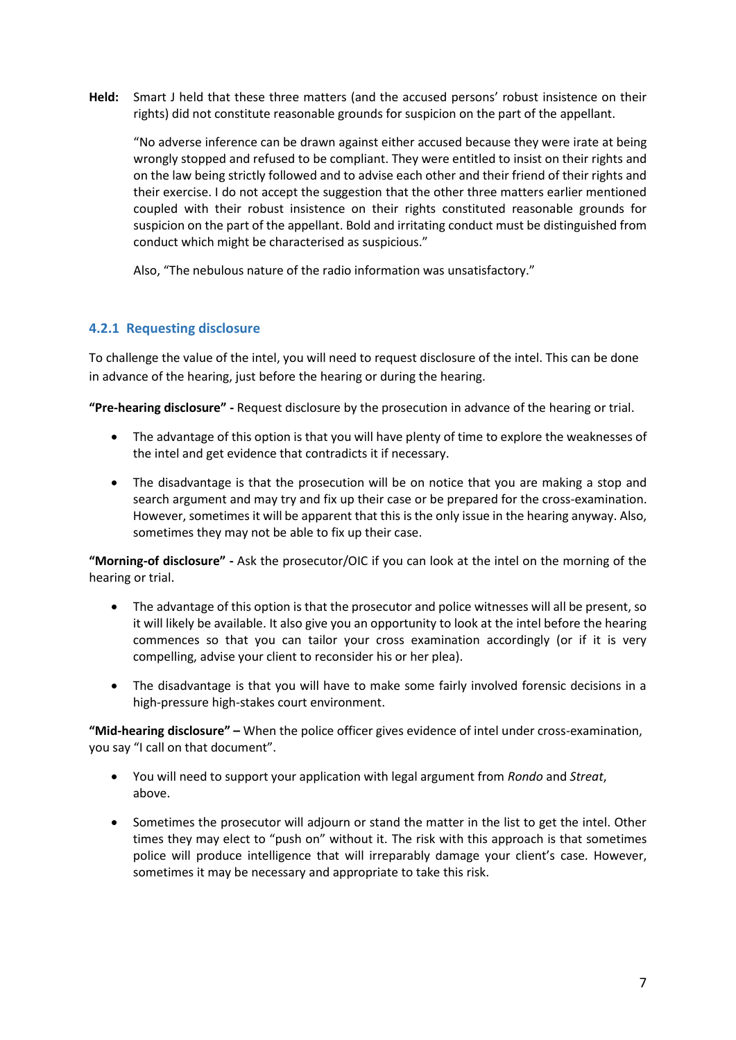**Held:** Smart J held that these three matters (and the accused persons' robust insistence on their rights) did not constitute reasonable grounds for suspicion on the part of the appellant.

"No adverse inference can be drawn against either accused because they were irate at being wrongly stopped and refused to be compliant. They were entitled to insist on their rights and on the law being strictly followed and to advise each other and their friend of their rights and their exercise. I do not accept the suggestion that the other three matters earlier mentioned coupled with their robust insistence on their rights constituted reasonable grounds for suspicion on the part of the appellant. Bold and irritating conduct must be distinguished from conduct which might be characterised as suspicious."

Also, "The nebulous nature of the radio information was unsatisfactory."

### **4.2.1 Requesting disclosure**

To challenge the value of the intel, you will need to request disclosure of the intel. This can be done in advance of the hearing, just before the hearing or during the hearing.

**"Pre-hearing disclosure" -** Request disclosure by the prosecution in advance of the hearing or trial.

- The advantage of this option is that you will have plenty of time to explore the weaknesses of the intel and get evidence that contradicts it if necessary.
- The disadvantage is that the prosecution will be on notice that you are making a stop and search argument and may try and fix up their case or be prepared for the cross-examination. However, sometimes it will be apparent that this is the only issue in the hearing anyway. Also, sometimes they may not be able to fix up their case.

**"Morning-of disclosure" -** Ask the prosecutor/OIC if you can look at the intel on the morning of the hearing or trial.

- The advantage of this option is that the prosecutor and police witnesses will all be present, so it will likely be available. It also give you an opportunity to look at the intel before the hearing commences so that you can tailor your cross examination accordingly (or if it is very compelling, advise your client to reconsider his or her plea).
- The disadvantage is that you will have to make some fairly involved forensic decisions in a high-pressure high-stakes court environment.

**"Mid-hearing disclosure" –** When the police officer gives evidence of intel under cross-examination, you say "I call on that document".

- You will need to support your application with legal argument from *Rondo* and *Streat*, above.
- Sometimes the prosecutor will adjourn or stand the matter in the list to get the intel. Other times they may elect to "push on" without it. The risk with this approach is that sometimes police will produce intelligence that will irreparably damage your client's case. However, sometimes it may be necessary and appropriate to take this risk.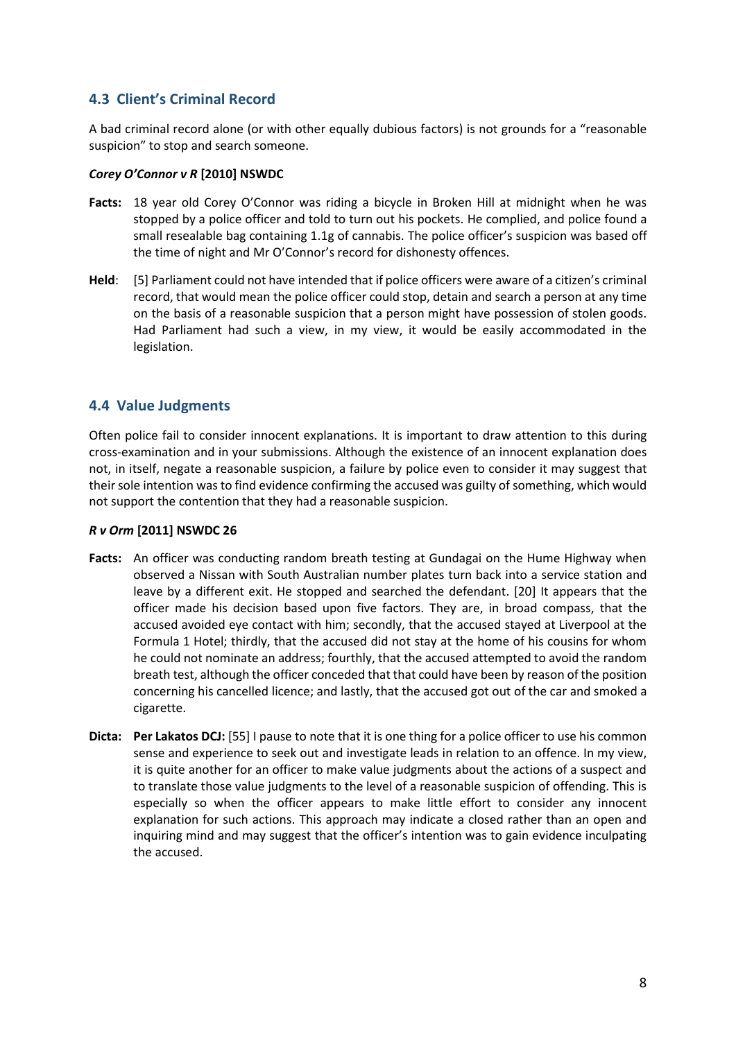### **4.3 Client's Criminal Record**

A bad criminal record alone (or with other equally dubious factors) is not grounds for a "reasonable suspicion" to stop and search someone.

#### *Corey O'Connor v R* **[2010] NSWDC**

- **Facts:** 18 year old Corey O'Connor was riding a bicycle in Broken Hill at midnight when he was stopped by a police officer and told to turn out his pockets. He complied, and police found a small resealable bag containing 1.1g of cannabis. The police officer's suspicion was based off the time of night and Mr O'Connor's record for dishonesty offences.
- **Held**: [5] Parliament could not have intended that if police officers were aware of a citizen's criminal record, that would mean the police officer could stop, detain and search a person at any time on the basis of a reasonable suspicion that a person might have possession of stolen goods. Had Parliament had such a view, in my view, it would be easily accommodated in the legislation.

### **4.4 Value Judgments**

Often police fail to consider innocent explanations. It is important to draw attention to this during cross-examination and in your submissions. Although the existence of an innocent explanation does not, in itself, negate a reasonable suspicion, a failure by police even to consider it may suggest that their sole intention was to find evidence confirming the accused was guilty of something, which would not support the contention that they had a reasonable suspicion.

#### *R v Orm* **[2011] NSWDC 26**

- **Facts:** An officer was conducting random breath testing at Gundagai on the Hume Highway when observed a Nissan with South Australian number plates turn back into a service station and leave by a different exit. He stopped and searched the defendant. [20] It appears that the officer made his decision based upon five factors. They are, in broad compass, that the accused avoided eye contact with him; secondly, that the accused stayed at Liverpool at the Formula 1 Hotel; thirdly, that the accused did not stay at the home of his cousins for whom he could not nominate an address; fourthly, that the accused attempted to avoid the random breath test, although the officer conceded that that could have been by reason of the position concerning his cancelled licence; and lastly, that the accused got out of the car and smoked a cigarette.
- **Dicta: Per Lakatos DCJ:** [55] I pause to note that it is one thing for a police officer to use his common sense and experience to seek out and investigate leads in relation to an offence. In my view, it is quite another for an officer to make value judgments about the actions of a suspect and to translate those value judgments to the level of a reasonable suspicion of offending. This is especially so when the officer appears to make little effort to consider any innocent explanation for such actions. This approach may indicate a closed rather than an open and inquiring mind and may suggest that the officer's intention was to gain evidence inculpating the accused.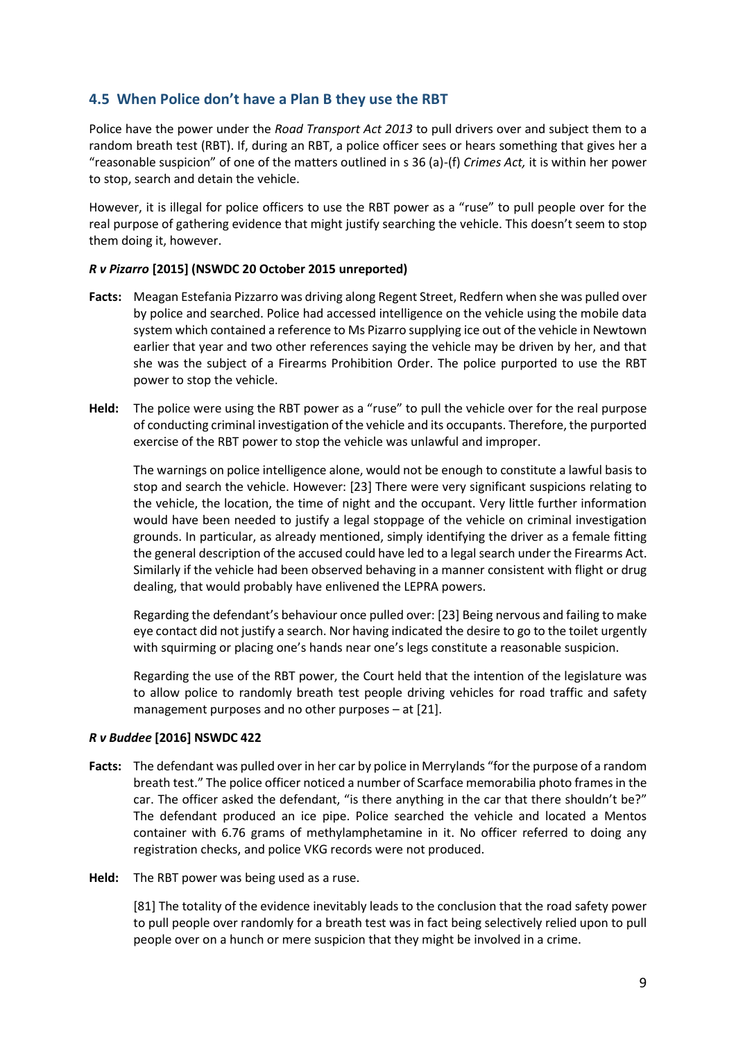### **4.5 When Police don't have a Plan B they use the RBT**

Police have the power under the *Road Transport Act 2013* to pull drivers over and subject them to a random breath test (RBT). If, during an RBT, a police officer sees or hears something that gives her a "reasonable suspicion" of one of the matters outlined in s 36 (a)-(f) *Crimes Act,* it is within her power to stop, search and detain the vehicle.

However, it is illegal for police officers to use the RBT power as a "ruse" to pull people over for the real purpose of gathering evidence that might justify searching the vehicle. This doesn't seem to stop them doing it, however.

#### *R v Pizarro* **[2015] (NSWDC 20 October 2015 unreported)**

- **Facts:** Meagan Estefania Pizzarro was driving along Regent Street, Redfern when she was pulled over by police and searched. Police had accessed intelligence on the vehicle using the mobile data system which contained a reference to Ms Pizarro supplying ice out of the vehicle in Newtown earlier that year and two other references saying the vehicle may be driven by her, and that she was the subject of a Firearms Prohibition Order. The police purported to use the RBT power to stop the vehicle.
- **Held:** The police were using the RBT power as a "ruse" to pull the vehicle over for the real purpose of conducting criminal investigation of the vehicle and its occupants. Therefore, the purported exercise of the RBT power to stop the vehicle was unlawful and improper.

The warnings on police intelligence alone, would not be enough to constitute a lawful basis to stop and search the vehicle. However: [23] There were very significant suspicions relating to the vehicle, the location, the time of night and the occupant. Very little further information would have been needed to justify a legal stoppage of the vehicle on criminal investigation grounds. In particular, as already mentioned, simply identifying the driver as a female fitting the general description of the accused could have led to a legal search under the Firearms Act. Similarly if the vehicle had been observed behaving in a manner consistent with flight or drug dealing, that would probably have enlivened the LEPRA powers.

Regarding the defendant's behaviour once pulled over: [23] Being nervous and failing to make eye contact did not justify a search. Nor having indicated the desire to go to the toilet urgently with squirming or placing one's hands near one's legs constitute a reasonable suspicion.

Regarding the use of the RBT power, the Court held that the intention of the legislature was to allow police to randomly breath test people driving vehicles for road traffic and safety management purposes and no other purposes – at [21].

#### *R v Buddee* **[2016] NSWDC 422**

- **Facts:** The defendant was pulled over in her car by police in Merrylands "for the purpose of a random breath test." The police officer noticed a number of Scarface memorabilia photo frames in the car. The officer asked the defendant, "is there anything in the car that there shouldn't be?" The defendant produced an ice pipe. Police searched the vehicle and located a Mentos container with 6.76 grams of methylamphetamine in it. No officer referred to doing any registration checks, and police VKG records were not produced.
- **Held:** The RBT power was being used as a ruse.

[81] The totality of the evidence inevitably leads to the conclusion that the road safety power to pull people over randomly for a breath test was in fact being selectively relied upon to pull people over on a hunch or mere suspicion that they might be involved in a crime.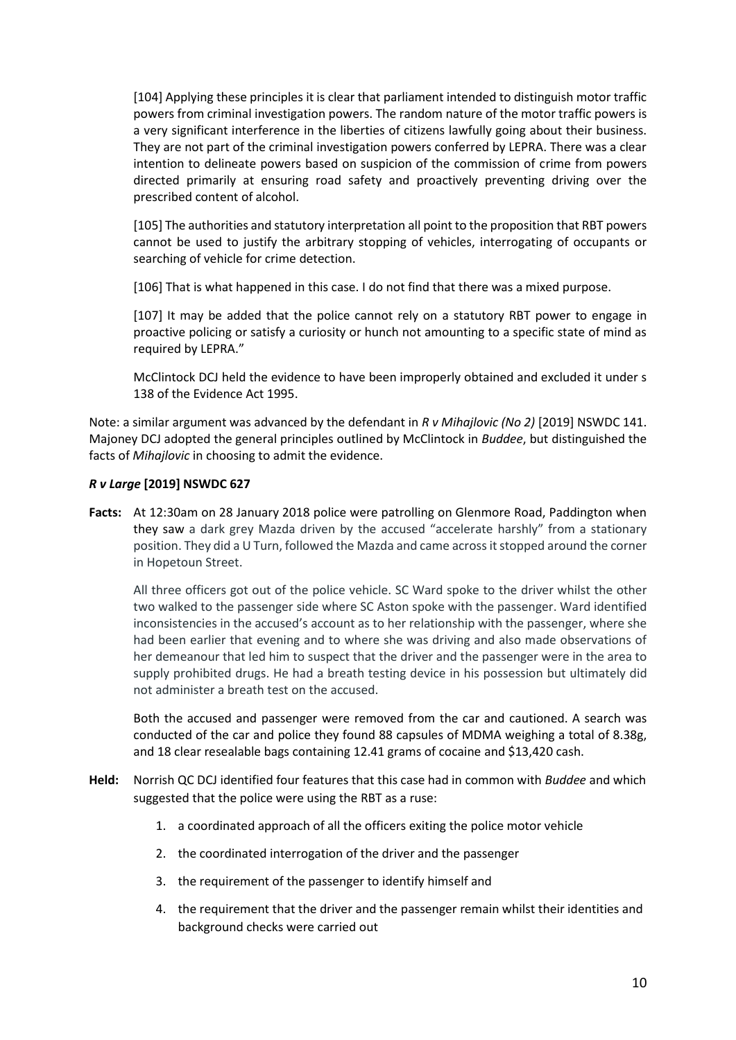[104] Applying these principles it is clear that parliament intended to distinguish motor traffic powers from criminal investigation powers. The random nature of the motor traffic powers is a very significant interference in the liberties of citizens lawfully going about their business. They are not part of the criminal investigation powers conferred by LEPRA. There was a clear intention to delineate powers based on suspicion of the commission of crime from powers directed primarily at ensuring road safety and proactively preventing driving over the prescribed content of alcohol.

[105] The authorities and statutory interpretation all point to the proposition that RBT powers cannot be used to justify the arbitrary stopping of vehicles, interrogating of occupants or searching of vehicle for crime detection.

[106] That is what happened in this case. I do not find that there was a mixed purpose.

[107] It may be added that the police cannot rely on a statutory RBT power to engage in proactive policing or satisfy a curiosity or hunch not amounting to a specific state of mind as required by LEPRA."

McClintock DCJ held the evidence to have been improperly obtained and excluded it under s 138 of the Evidence Act 1995.

Note: a similar argument was advanced by the defendant in *R v Mihajlovic (No 2)* [2019] NSWDC 141. Majoney DCJ adopted the general principles outlined by McClintock in *Buddee*, but distinguished the facts of *Mihajlovic* in choosing to admit the evidence.

#### *R v Large* **[2019] NSWDC 627**

**Facts:** At 12:30am on 28 January 2018 police were patrolling on Glenmore Road, Paddington when they saw a dark grey Mazda driven by the accused "accelerate harshly" from a stationary position. They did a U Turn, followed the Mazda and came across it stopped around the corner in Hopetoun Street.

All three officers got out of the police vehicle. SC Ward spoke to the driver whilst the other two walked to the passenger side where SC Aston spoke with the passenger. Ward identified inconsistencies in the accused's account as to her relationship with the passenger, where she had been earlier that evening and to where she was driving and also made observations of her demeanour that led him to suspect that the driver and the passenger were in the area to supply prohibited drugs. He had a breath testing device in his possession but ultimately did not administer a breath test on the accused.

Both the accused and passenger were removed from the car and cautioned. A search was conducted of the car and police they found 88 capsules of MDMA weighing a total of 8.38g, and 18 clear resealable bags containing 12.41 grams of cocaine and \$13,420 cash.

- **Held:** Norrish QC DCJ identified four features that this case had in common with *Buddee* and which suggested that the police were using the RBT as a ruse:
	- 1. a coordinated approach of all the officers exiting the police motor vehicle
	- 2. the coordinated interrogation of the driver and the passenger
	- 3. the requirement of the passenger to identify himself and
	- 4. the requirement that the driver and the passenger remain whilst their identities and background checks were carried out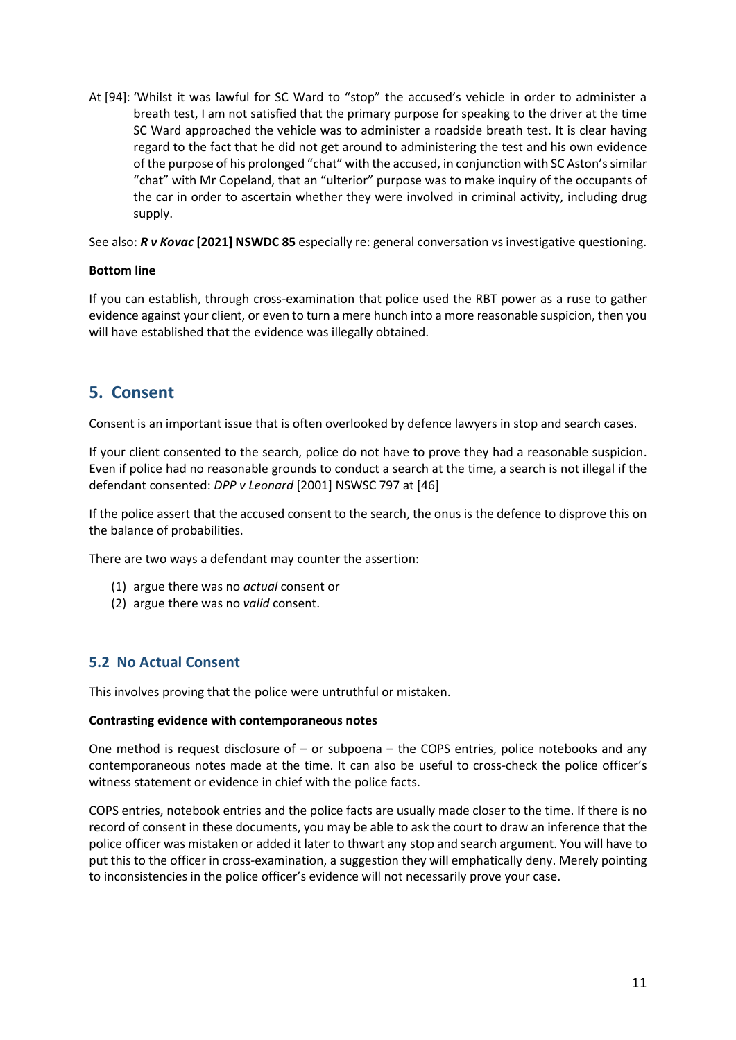At [94]: 'Whilst it was lawful for SC Ward to "stop" the accused's vehicle in order to administer a breath test, I am not satisfied that the primary purpose for speaking to the driver at the time SC Ward approached the vehicle was to administer a roadside breath test. It is clear having regard to the fact that he did not get around to administering the test and his own evidence of the purpose of his prolonged "chat" with the accused, in conjunction with SC Aston's similar "chat" with Mr Copeland, that an "ulterior" purpose was to make inquiry of the occupants of the car in order to ascertain whether they were involved in criminal activity, including drug supply.

See also: *R v Kovac* **[2021] NSWDC 85** especially re: general conversation vs investigative questioning.

#### **Bottom line**

If you can establish, through cross-examination that police used the RBT power as a ruse to gather evidence against your client, or even to turn a mere hunch into a more reasonable suspicion, then you will have established that the evidence was illegally obtained.

# **5. Consent**

Consent is an important issue that is often overlooked by defence lawyers in stop and search cases.

If your client consented to the search, police do not have to prove they had a reasonable suspicion. Even if police had no reasonable grounds to conduct a search at the time, a search is not illegal if the defendant consented: *DPP v Leonard* [2001] NSWSC 797 at [46]

If the police assert that the accused consent to the search, the onus is the defence to disprove this on the balance of probabilities.

There are two ways a defendant may counter the assertion:

- (1) argue there was no *actual* consent or
- (2) argue there was no *valid* consent.

### **5.2 No Actual Consent**

This involves proving that the police were untruthful or mistaken.

#### **Contrasting evidence with contemporaneous notes**

One method is request disclosure of – or subpoena – the COPS entries, police notebooks and any contemporaneous notes made at the time. It can also be useful to cross-check the police officer's witness statement or evidence in chief with the police facts.

COPS entries, notebook entries and the police facts are usually made closer to the time. If there is no record of consent in these documents, you may be able to ask the court to draw an inference that the police officer was mistaken or added it later to thwart any stop and search argument. You will have to put this to the officer in cross-examination, a suggestion they will emphatically deny. Merely pointing to inconsistencies in the police officer's evidence will not necessarily prove your case.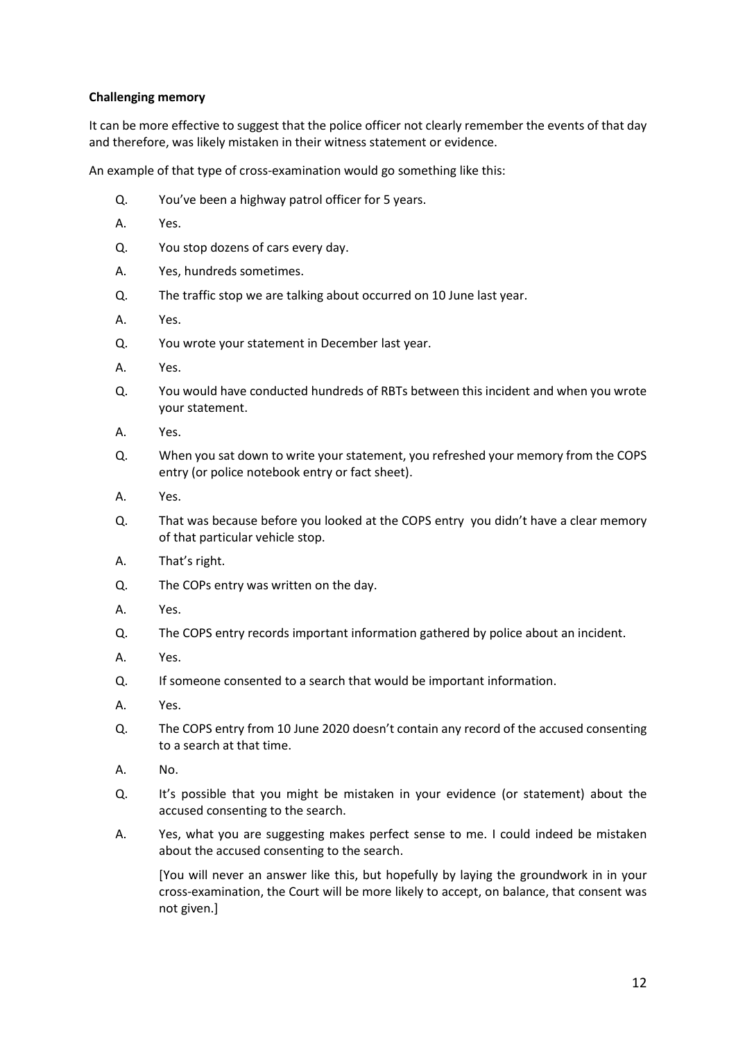#### **Challenging memory**

It can be more effective to suggest that the police officer not clearly remember the events of that day and therefore, was likely mistaken in their witness statement or evidence.

An example of that type of cross-examination would go something like this:

- Q. You've been a highway patrol officer for 5 years.
- A. Yes.
- Q. You stop dozens of cars every day.
- A. Yes, hundreds sometimes.
- Q. The traffic stop we are talking about occurred on 10 June last year.
- A. Yes.
- Q. You wrote your statement in December last year.
- A. Yes.
- Q. You would have conducted hundreds of RBTs between this incident and when you wrote your statement.
- A. Yes.
- Q. When you sat down to write your statement, you refreshed your memory from the COPS entry (or police notebook entry or fact sheet).
- A. Yes.
- Q. That was because before you looked at the COPS entry you didn't have a clear memory of that particular vehicle stop.
- A. That's right.
- Q. The COPs entry was written on the day.
- A. Yes.
- Q. The COPS entry records important information gathered by police about an incident.
- A. Yes.
- Q. If someone consented to a search that would be important information.
- A. Yes.
- Q. The COPS entry from 10 June 2020 doesn't contain any record of the accused consenting to a search at that time.
- A. No.
- Q. It's possible that you might be mistaken in your evidence (or statement) about the accused consenting to the search.
- A. Yes, what you are suggesting makes perfect sense to me. I could indeed be mistaken about the accused consenting to the search.

[You will never an answer like this, but hopefully by laying the groundwork in in your cross-examination, the Court will be more likely to accept, on balance, that consent was not given.]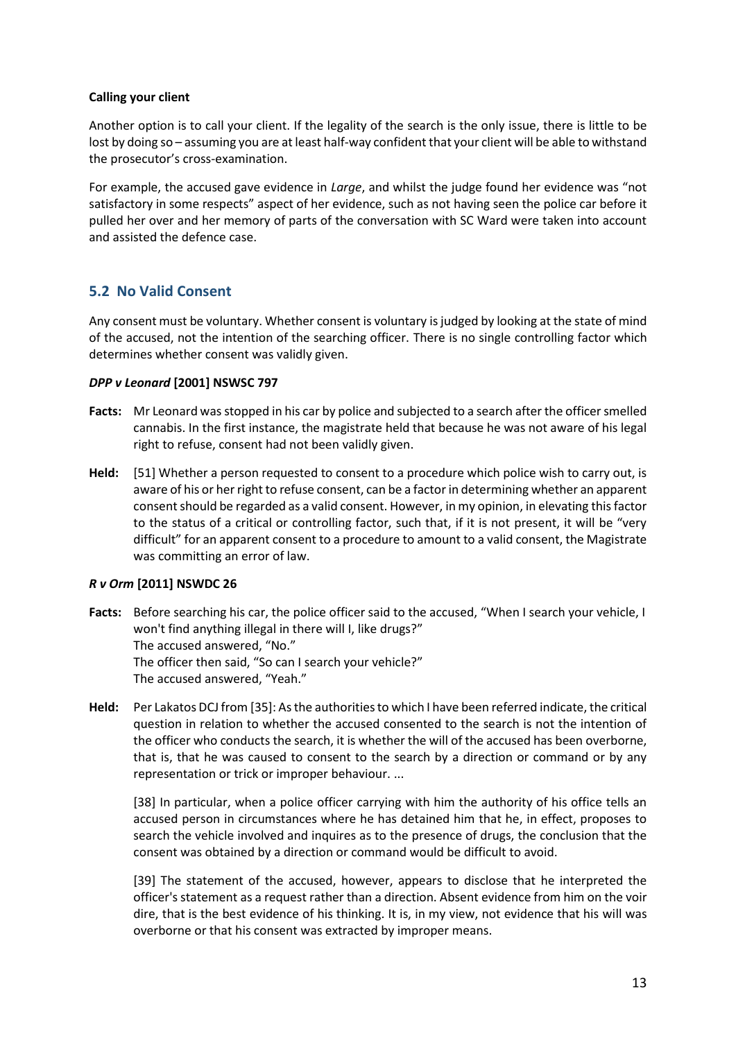#### **Calling your client**

Another option is to call your client. If the legality of the search is the only issue, there is little to be lost by doing so – assuming you are at least half-way confident that your client will be able to withstand the prosecutor's cross-examination.

For example, the accused gave evidence in *Large*, and whilst the judge found her evidence was "not satisfactory in some respects" aspect of her evidence, such as not having seen the police car before it pulled her over and her memory of parts of the conversation with SC Ward were taken into account and assisted the defence case.

### **5.2 No Valid Consent**

Any consent must be voluntary. Whether consent is voluntary is judged by looking at the state of mind of the accused, not the intention of the searching officer. There is no single controlling factor which determines whether consent was validly given.

#### *DPP v Leonard* **[2001] NSWSC 797**

- **Facts:** Mr Leonard was stopped in his car by police and subjected to a search after the officer smelled cannabis. In the first instance, the magistrate held that because he was not aware of his legal right to refuse, consent had not been validly given.
- **Held:** [51] Whether a person requested to consent to a procedure which police wish to carry out, is aware of his or her right to refuse consent, can be a factor in determining whether an apparent consent should be regarded as a valid consent. However, in my opinion, in elevating this factor to the status of a critical or controlling factor, such that, if it is not present, it will be "very difficult" for an apparent consent to a procedure to amount to a valid consent, the Magistrate was committing an error of law.

#### *R v Orm* **[2011] NSWDC 26**

- Facts: Before searching his car, the police officer said to the accused, "When I search your vehicle, I won't find anything illegal in there will I, like drugs?" The accused answered, "No." The officer then said, "So can I search your vehicle?" The accused answered, "Yeah."
- **Held:** Per Lakatos DCJ from [35]: As the authorities to which I have been referred indicate, the critical question in relation to whether the accused consented to the search is not the intention of the officer who conducts the search, it is whether the will of the accused has been overborne, that is, that he was caused to consent to the search by a direction or command or by any representation or trick or improper behaviour. ...

[38] In particular, when a police officer carrying with him the authority of his office tells an accused person in circumstances where he has detained him that he, in effect, proposes to search the vehicle involved and inquires as to the presence of drugs, the conclusion that the consent was obtained by a direction or command would be difficult to avoid.

[39] The statement of the accused, however, appears to disclose that he interpreted the officer's statement as a request rather than a direction. Absent evidence from him on the voir dire, that is the best evidence of his thinking. It is, in my view, not evidence that his will was overborne or that his consent was extracted by improper means.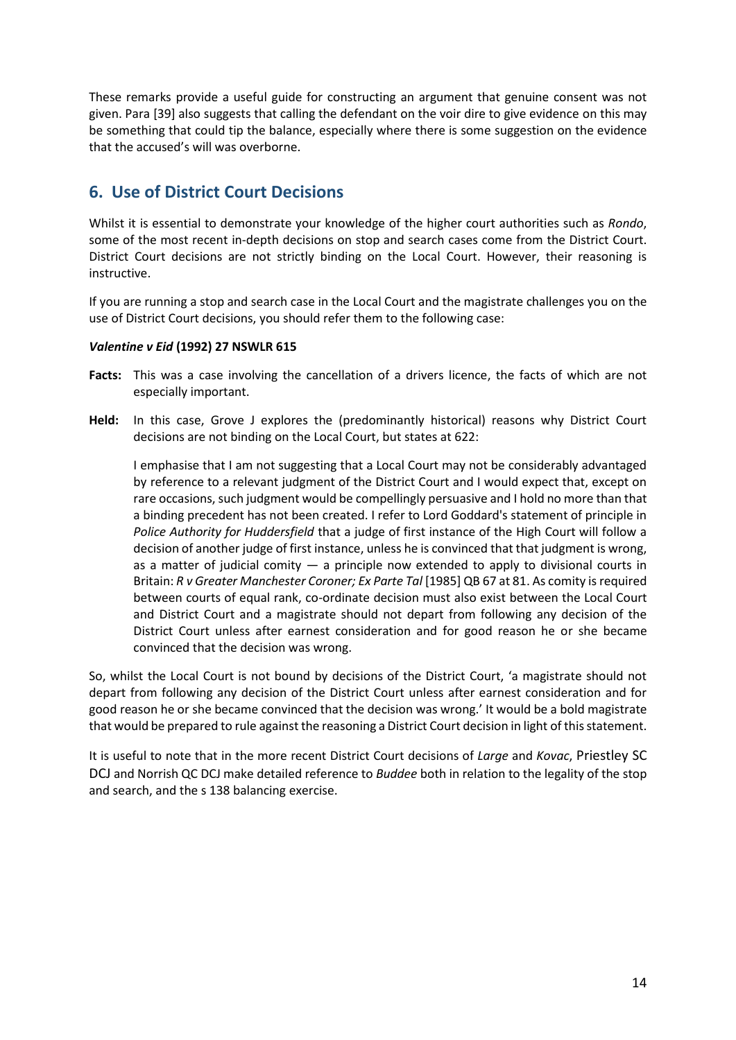These remarks provide a useful guide for constructing an argument that genuine consent was not given. Para [39] also suggests that calling the defendant on the voir dire to give evidence on this may be something that could tip the balance, especially where there is some suggestion on the evidence that the accused's will was overborne.

# **6. Use of District Court Decisions**

Whilst it is essential to demonstrate your knowledge of the higher court authorities such as *Rondo*, some of the most recent in-depth decisions on stop and search cases come from the District Court. District Court decisions are not strictly binding on the Local Court. However, their reasoning is instructive.

If you are running a stop and search case in the Local Court and the magistrate challenges you on the use of District Court decisions, you should refer them to the following case:

#### *Valentine v Eid* **(1992) 27 NSWLR 615**

- **Facts:** This was a case involving the cancellation of a drivers licence, the facts of which are not especially important.
- **Held:** In this case, Grove J explores the (predominantly historical) reasons why District Court decisions are not binding on the Local Court, but states at 622:

I emphasise that I am not suggesting that a Local Court may not be considerably advantaged by reference to a relevant judgment of the District Court and I would expect that, except on rare occasions, such judgment would be compellingly persuasive and I hold no more than that a binding precedent has not been created. I refer to Lord Goddard's statement of principle in *Police Authority for Huddersfield* that a judge of first instance of the High Court will follow a decision of another judge of first instance, unless he is convinced that that judgment is wrong, as a matter of judicial comity  $-$  a principle now extended to apply to divisional courts in Britain: *R v Greater Manchester Coroner; Ex Parte Tal* [1985] QB 67 at 81. As comity is required between courts of equal rank, co-ordinate decision must also exist between the Local Court and District Court and a magistrate should not depart from following any decision of the District Court unless after earnest consideration and for good reason he or she became convinced that the decision was wrong.

So, whilst the Local Court is not bound by decisions of the District Court, 'a magistrate should not depart from following any decision of the District Court unless after earnest consideration and for good reason he or she became convinced that the decision was wrong.' It would be a bold magistrate that would be prepared to rule against the reasoning a District Court decision in light of this statement.

It is useful to note that in the more recent District Court decisions of *Large* and *Kovac*, Priestley SC DCJ and Norrish QC DCJ make detailed reference to *Buddee* both in relation to the legality of the stop and search, and the s 138 balancing exercise.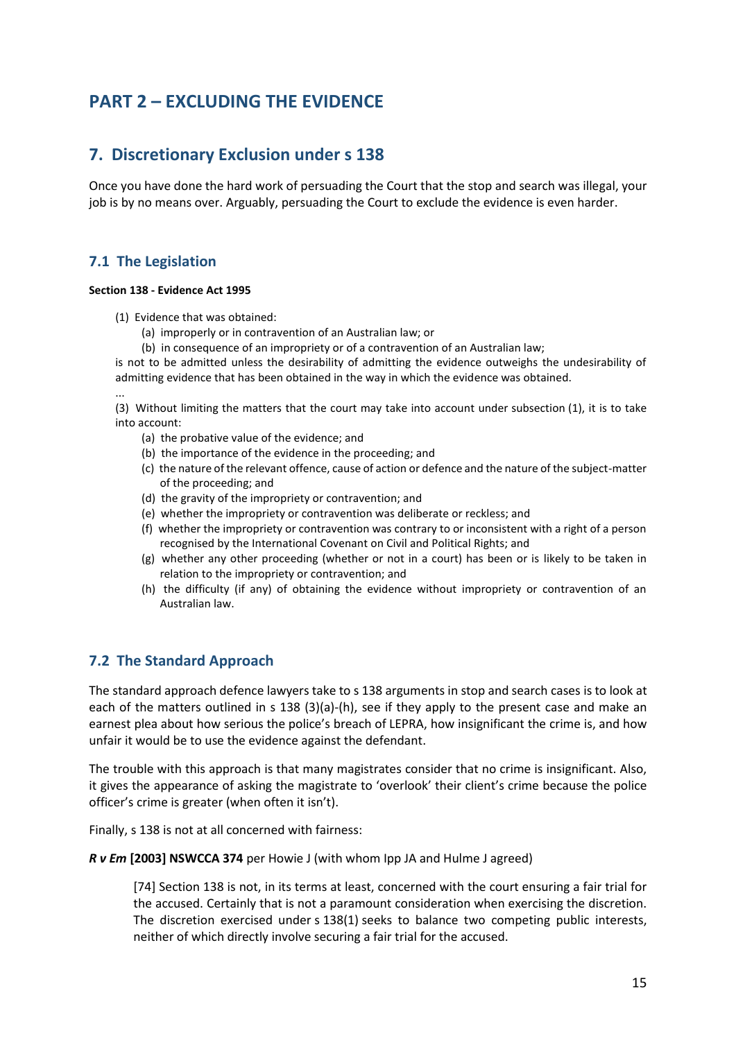# **PART 2 – EXCLUDING THE EVIDENCE**

# **7. Discretionary Exclusion under s 138**

Once you have done the hard work of persuading the Court that the stop and search was illegal, your job is by no means over. Arguably, persuading the Court to exclude the evidence is even harder.

### **7.1 The Legislation**

#### **Section 138 - Evidence Act 1995**

- (1) Evidence that was obtained:
	- (a) improperly or in contravention of an Australian law; or
	- (b) in consequence of an impropriety or of a contravention of an Australian law;

is not to be admitted unless the desirability of admitting the evidence outweighs the undesirability of admitting evidence that has been obtained in the way in which the evidence was obtained.

... (3) Without limiting the matters that the court may take into account under subsection (1), it is to take into account:

- (a) the probative value of the evidence; and
- (b) the importance of the evidence in the proceeding; and
- (c) the nature of the relevant offence, cause of action or defence and the nature of the subject-matter of the proceeding; and
- (d) the gravity of the impropriety or contravention; and
- (e) whether the impropriety or contravention was deliberate or reckless; and
- (f) whether the impropriety or contravention was contrary to or inconsistent with a right of a person recognised by the International Covenant on Civil and Political Rights; and
- (g) whether any other proceeding (whether or not in a court) has been or is likely to be taken in relation to the impropriety or contravention; and
- (h) the difficulty (if any) of obtaining the evidence without impropriety or contravention of an Australian law.

### **7.2 The Standard Approach**

The standard approach defence lawyers take to s 138 arguments in stop and search cases is to look at each of the matters outlined in s 138 (3)(a)-(h), see if they apply to the present case and make an earnest plea about how serious the police's breach of LEPRA, how insignificant the crime is, and how unfair it would be to use the evidence against the defendant.

The trouble with this approach is that many magistrates consider that no crime is insignificant. Also, it gives the appearance of asking the magistrate to 'overlook' their client's crime because the police officer's crime is greater (when often it isn't).

Finally, s 138 is not at all concerned with fairness:

*R v Em* **[2003] NSWCCA 374** per Howie J (with whom Ipp JA and Hulme J agreed)

[74] Section 138 is not, in its terms at least, concerned with the court ensuring a fair trial for the accused. Certainly that is not a paramount consideration when exercising the discretion. The discretion exercised under s 138(1) seeks to balance two competing public interests, neither of which directly involve securing a fair trial for the accused.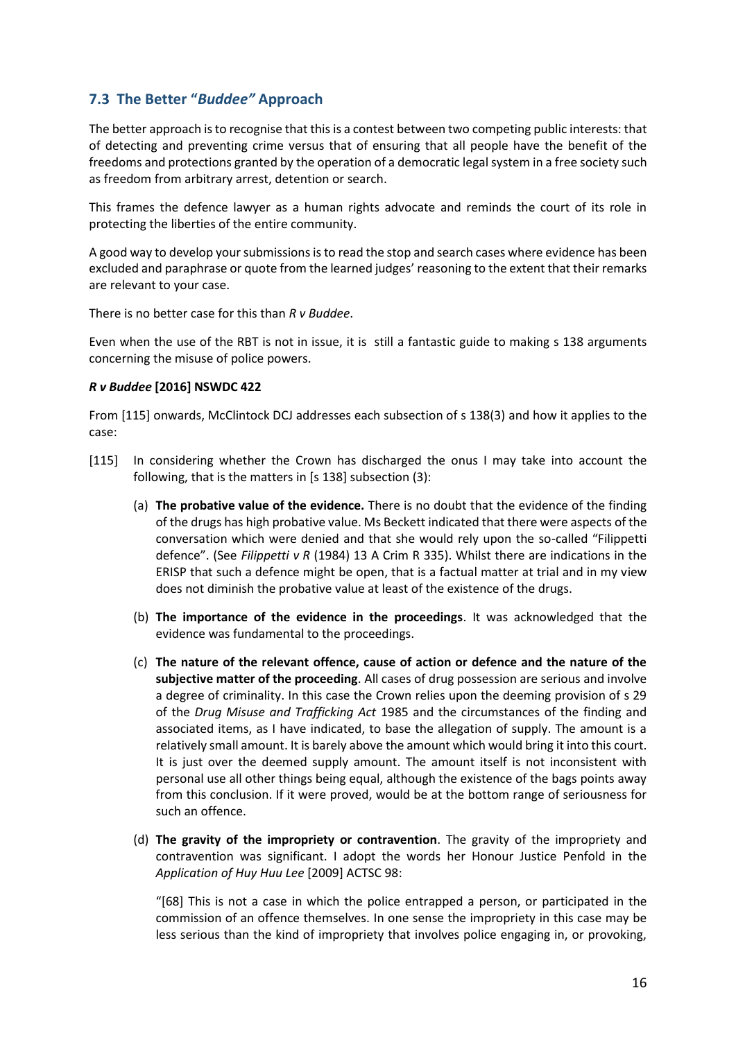### **7.3 The Better "***Buddee"* **Approach**

The better approach is to recognise that this is a contest between two competing public interests: that of detecting and preventing crime versus that of ensuring that all people have the benefit of the freedoms and protections granted by the operation of a democratic legal system in a free society such as freedom from arbitrary arrest, detention or search.

This frames the defence lawyer as a human rights advocate and reminds the court of its role in protecting the liberties of the entire community.

A good way to develop your submissions is to read the stop and search cases where evidence has been excluded and paraphrase or quote from the learned judges' reasoning to the extent that their remarks are relevant to your case.

There is no better case for this than *R v Buddee*.

Even when the use of the RBT is not in issue, it is still a fantastic guide to making s 138 arguments concerning the misuse of police powers.

#### *R v Buddee* **[2016] NSWDC 422**

From [115] onwards, McClintock DCJ addresses each subsection of s 138(3) and how it applies to the case:

- [115] In considering whether the Crown has discharged the onus I may take into account the following, that is the matters in [s 138] subsection (3):
	- (a) **The probative value of the evidence.** There is no doubt that the evidence of the finding of the drugs has high probative value. Ms Beckett indicated that there were aspects of the conversation which were denied and that she would rely upon the so-called "Filippetti defence". (See *Filippetti v R* (1984) 13 A Crim R 335). Whilst there are indications in the ERISP that such a defence might be open, that is a factual matter at trial and in my view does not diminish the probative value at least of the existence of the drugs.
	- (b) **The importance of the evidence in the proceedings**. It was acknowledged that the evidence was fundamental to the proceedings.
	- (c) **The nature of the relevant offence, cause of action or defence and the nature of the subjective matter of the proceeding**. All cases of drug possession are serious and involve a degree of criminality. In this case the Crown relies upon the deeming provision of s 29 of the *Drug Misuse and Trafficking Act* 1985 and the circumstances of the finding and associated items, as I have indicated, to base the allegation of supply. The amount is a relatively small amount. It is barely above the amount which would bring it into this court. It is just over the deemed supply amount. The amount itself is not inconsistent with personal use all other things being equal, although the existence of the bags points away from this conclusion. If it were proved, would be at the bottom range of seriousness for such an offence.
	- (d) **The gravity of the impropriety or contravention**. The gravity of the impropriety and contravention was significant. I adopt the words her Honour Justice Penfold in the *Application of Huy Huu Lee* [2009] ACTSC 98:

"[68] This is not a case in which the police entrapped a person, or participated in the commission of an offence themselves. In one sense the impropriety in this case may be less serious than the kind of impropriety that involves police engaging in, or provoking,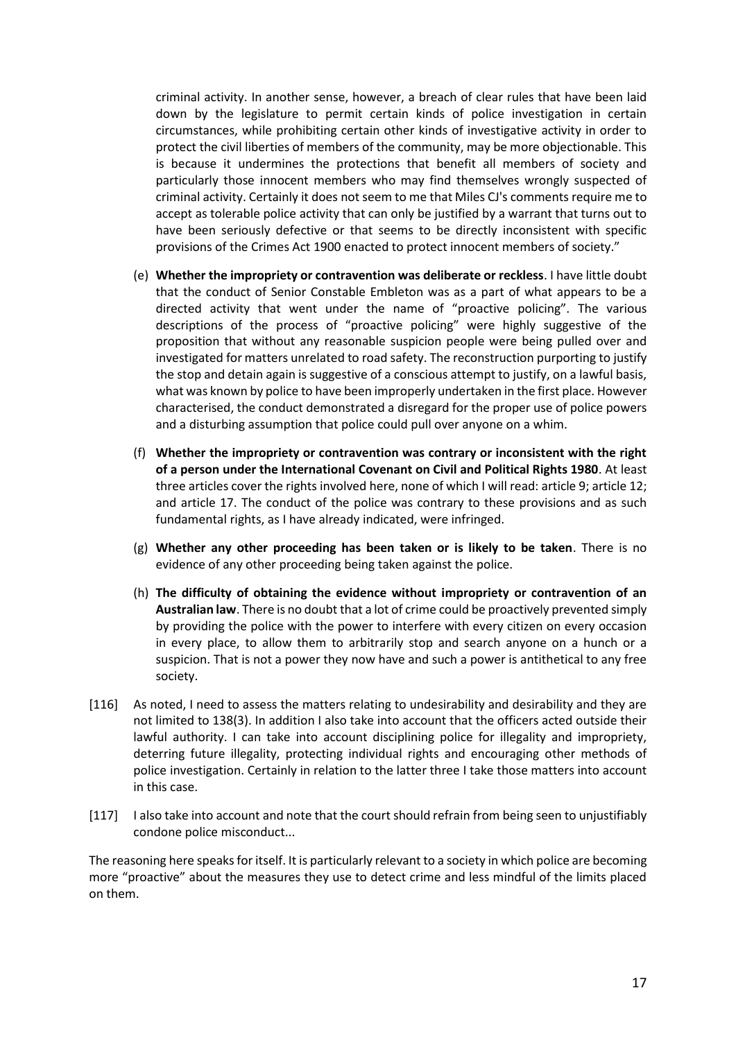criminal activity. In another sense, however, a breach of clear rules that have been laid down by the legislature to permit certain kinds of police investigation in certain circumstances, while prohibiting certain other kinds of investigative activity in order to protect the civil liberties of members of the community, may be more objectionable. This is because it undermines the protections that benefit all members of society and particularly those innocent members who may find themselves wrongly suspected of criminal activity. Certainly it does not seem to me that Miles CJ's comments require me to accept as tolerable police activity that can only be justified by a warrant that turns out to have been seriously defective or that seems to be directly inconsistent with specific provisions of the Crimes Act 1900 enacted to protect innocent members of society."

- (e) **Whether the impropriety or contravention was deliberate or reckless**. I have little doubt that the conduct of Senior Constable Embleton was as a part of what appears to be a directed activity that went under the name of "proactive policing". The various descriptions of the process of "proactive policing" were highly suggestive of the proposition that without any reasonable suspicion people were being pulled over and investigated for matters unrelated to road safety. The reconstruction purporting to justify the stop and detain again is suggestive of a conscious attempt to justify, on a lawful basis, what was known by police to have been improperly undertaken in the first place. However characterised, the conduct demonstrated a disregard for the proper use of police powers and a disturbing assumption that police could pull over anyone on a whim.
- (f) **Whether the impropriety or contravention was contrary or inconsistent with the right of a person under the International Covenant on Civil and Political Rights 1980**. At least three articles cover the rights involved here, none of which I will read: article 9; article 12; and article 17. The conduct of the police was contrary to these provisions and as such fundamental rights, as I have already indicated, were infringed.
- (g) **Whether any other proceeding has been taken or is likely to be taken**. There is no evidence of any other proceeding being taken against the police.
- (h) **The difficulty of obtaining the evidence without impropriety or contravention of an Australian law**. There is no doubt that a lot of crime could be proactively prevented simply by providing the police with the power to interfere with every citizen on every occasion in every place, to allow them to arbitrarily stop and search anyone on a hunch or a suspicion. That is not a power they now have and such a power is antithetical to any free society.
- [116] As noted, I need to assess the matters relating to undesirability and desirability and they are not limited to 138(3). In addition I also take into account that the officers acted outside their lawful authority. I can take into account disciplining police for illegality and impropriety, deterring future illegality, protecting individual rights and encouraging other methods of police investigation. Certainly in relation to the latter three I take those matters into account in this case.
- [117] I also take into account and note that the court should refrain from being seen to unjustifiably condone police misconduct...

The reasoning here speaks for itself. It is particularly relevant to a society in which police are becoming more "proactive" about the measures they use to detect crime and less mindful of the limits placed on them.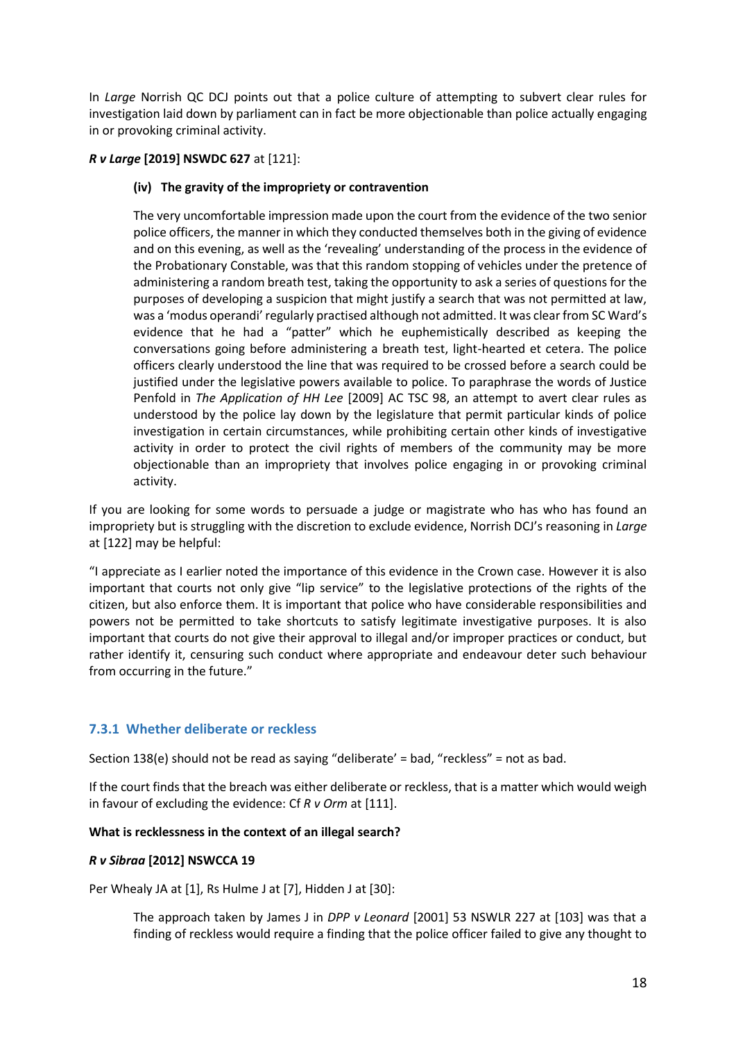In *Large* Norrish QC DCJ points out that a police culture of attempting to subvert clear rules for investigation laid down by parliament can in fact be more objectionable than police actually engaging in or provoking criminal activity.

#### *R v Large* **[2019] NSWDC 627** at [121]:

#### **(iv) The gravity of the impropriety or contravention**

The very uncomfortable impression made upon the court from the evidence of the two senior police officers, the manner in which they conducted themselves both in the giving of evidence and on this evening, as well as the 'revealing' understanding of the process in the evidence of the Probationary Constable, was that this random stopping of vehicles under the pretence of administering a random breath test, taking the opportunity to ask a series of questions for the purposes of developing a suspicion that might justify a search that was not permitted at law, was a 'modus operandi' regularly practised although not admitted. It was clear from SC Ward's evidence that he had a "patter" which he euphemistically described as keeping the conversations going before administering a breath test, light-hearted et cetera. The police officers clearly understood the line that was required to be crossed before a search could be justified under the legislative powers available to police. To paraphrase the words of Justice Penfold in *The Application of HH Lee* [2009] AC TSC 98, an attempt to avert clear rules as understood by the police lay down by the legislature that permit particular kinds of police investigation in certain circumstances, while prohibiting certain other kinds of investigative activity in order to protect the civil rights of members of the community may be more objectionable than an impropriety that involves police engaging in or provoking criminal activity.

If you are looking for some words to persuade a judge or magistrate who has who has found an impropriety but is struggling with the discretion to exclude evidence, Norrish DCJ's reasoning in *Large* at [122] may be helpful:

"I appreciate as I earlier noted the importance of this evidence in the Crown case. However it is also important that courts not only give "lip service" to the legislative protections of the rights of the citizen, but also enforce them. It is important that police who have considerable responsibilities and powers not be permitted to take shortcuts to satisfy legitimate investigative purposes. It is also important that courts do not give their approval to illegal and/or improper practices or conduct, but rather identify it, censuring such conduct where appropriate and endeavour deter such behaviour from occurring in the future."

#### **7.3.1 Whether deliberate or reckless**

Section 138(e) should not be read as saying "deliberate' = bad, "reckless" = not as bad.

If the court finds that the breach was either deliberate or reckless, that is a matter which would weigh in favour of excluding the evidence: Cf *R v Orm* at [111].

#### **What is recklessness in the context of an illegal search?**

#### *R v Sibraa* **[2012] NSWCCA 19**

Per Whealy JA at [1], Rs Hulme J at [7], Hidden J at [30]:

The approach taken by James J in *DPP v Leonard* [2001] 53 NSWLR 227 at [103] was that a finding of reckless would require a finding that the police officer failed to give any thought to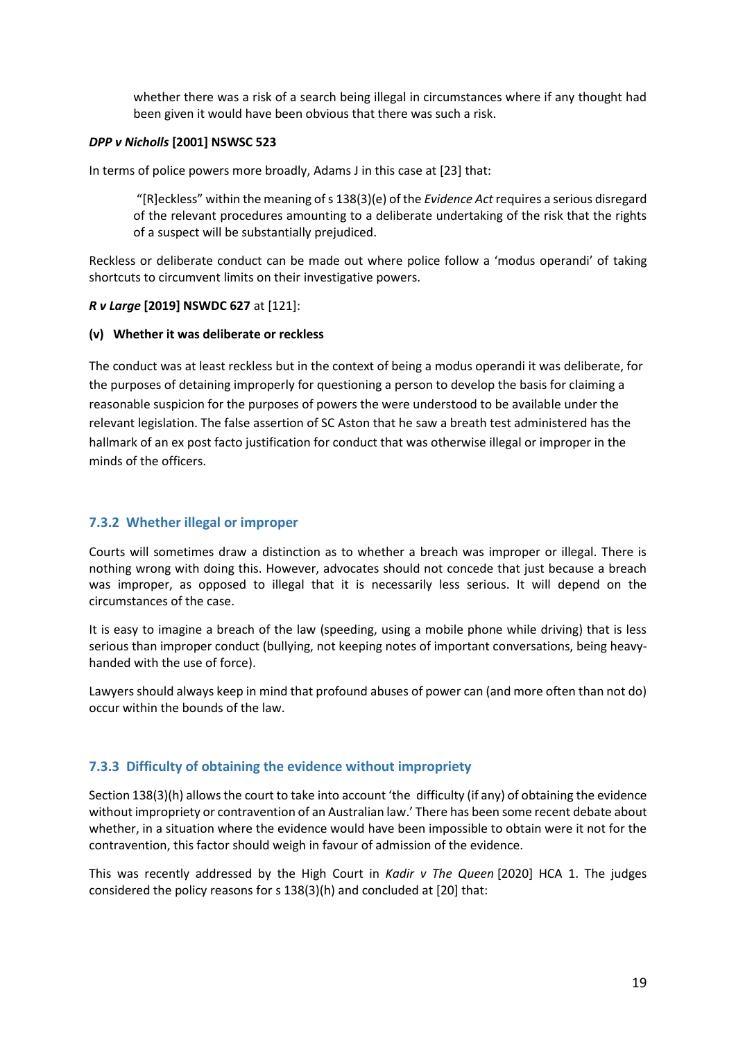whether there was a risk of a search being illegal in circumstances where if any thought had been given it would have been obvious that there was such a risk.

#### *DPP v Nicholls* **[2001] NSWSC 523**

In terms of police powers more broadly, Adams J in this case at [23] that:

"[R]eckless" within the meaning of s 138(3)(e) of the *Evidence Act* requires a serious disregard of the relevant procedures amounting to a deliberate undertaking of the risk that the rights of a suspect will be substantially prejudiced.

Reckless or deliberate conduct can be made out where police follow a 'modus operandi' of taking shortcuts to circumvent limits on their investigative powers.

#### *R v Large* **[2019] NSWDC 627** at [121]:

#### **(v) Whether it was deliberate or reckless**

The conduct was at least reckless but in the context of being a modus operandi it was deliberate, for the purposes of detaining improperly for questioning a person to develop the basis for claiming a reasonable suspicion for the purposes of powers the were understood to be available under the relevant legislation. The false assertion of SC Aston that he saw a breath test administered has the hallmark of an ex post facto justification for conduct that was otherwise illegal or improper in the minds of the officers.

#### **7.3.2 Whether illegal or improper**

Courts will sometimes draw a distinction as to whether a breach was improper or illegal. There is nothing wrong with doing this. However, advocates should not concede that just because a breach was improper, as opposed to illegal that it is necessarily less serious. It will depend on the circumstances of the case.

It is easy to imagine a breach of the law (speeding, using a mobile phone while driving) that is less serious than improper conduct (bullying, not keeping notes of important conversations, being heavyhanded with the use of force).

Lawyers should always keep in mind that profound abuses of power can (and more often than not do) occur within the bounds of the law.

#### **7.3.3 Difficulty of obtaining the evidence without impropriety**

Section 138(3)(h) allows the court to take into account 'the difficulty (if any) of obtaining the evidence without impropriety or contravention of an Australian law.' There has been some recent debate about whether, in a situation where the evidence would have been impossible to obtain were it not for the contravention, this factor should weigh in favour of admission of the evidence.

This was recently addressed by the High Court in *Kadir v The Queen* [2020] HCA 1. The judges considered the policy reasons for s 138(3)(h) and concluded at [20] that: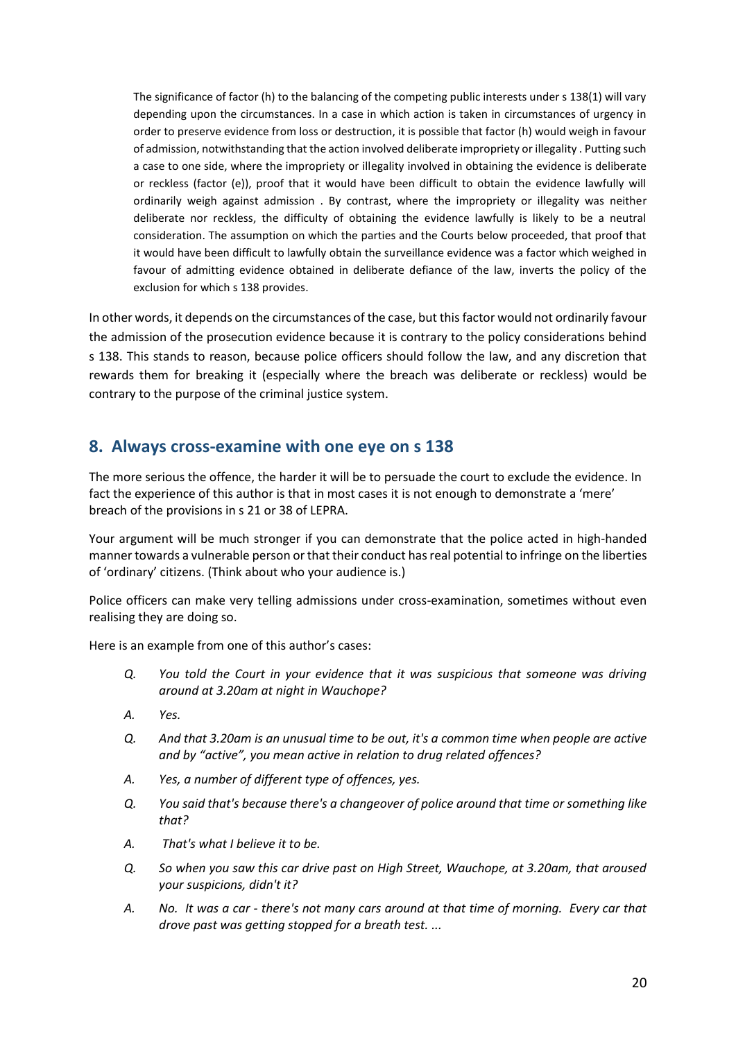The significance of factor (h) to the balancing of the competing public interests under s 138(1) will vary depending upon the circumstances. In a case in which action is taken in circumstances of urgency in order to preserve evidence from loss or destruction, it is possible that factor (h) would weigh in favour of admission, notwithstanding that the action involved deliberate impropriety or illegality . Putting such a case to one side, where the impropriety or illegality involved in obtaining the evidence is deliberate or reckless (factor (e)), proof that it would have been difficult to obtain the evidence lawfully will ordinarily weigh against admission . By contrast, where the impropriety or illegality was neither deliberate nor reckless, the difficulty of obtaining the evidence lawfully is likely to be a neutral consideration. The assumption on which the parties and the Courts below proceeded, that proof that it would have been difficult to lawfully obtain the surveillance evidence was a factor which weighed in favour of admitting evidence obtained in deliberate defiance of the law, inverts the policy of the exclusion for which s 138 provides.

In other words, it depends on the circumstances of the case, but this factor would not ordinarily favour the admission of the prosecution evidence because it is contrary to the policy considerations behind s 138. This stands to reason, because police officers should follow the law, and any discretion that rewards them for breaking it (especially where the breach was deliberate or reckless) would be contrary to the purpose of the criminal justice system.

# **8. Always cross-examine with one eye on s 138**

The more serious the offence, the harder it will be to persuade the court to exclude the evidence. In fact the experience of this author is that in most cases it is not enough to demonstrate a 'mere' breach of the provisions in s 21 or 38 of LEPRA.

Your argument will be much stronger if you can demonstrate that the police acted in high-handed manner towards a vulnerable person or that their conduct has real potential to infringe on the liberties of 'ordinary' citizens. (Think about who your audience is.)

Police officers can make very telling admissions under cross-examination, sometimes without even realising they are doing so.

Here is an example from one of this author's cases:

- *Q. You told the Court in your evidence that it was suspicious that someone was driving around at 3.20am at night in Wauchope?*
- *A. Yes.*
- *Q. And that 3.20am is an unusual time to be out, it's a common time when people are active and by "active", you mean active in relation to drug related offences?*
- *A. Yes, a number of different type of offences, yes.*
- *Q. You said that's because there's a changeover of police around that time or something like that?*
- *A. That's what I believe it to be.*
- *Q. So when you saw this car drive past on High Street, Wauchope, at 3.20am, that aroused your suspicions, didn't it?*
- *A. No. It was a car - there's not many cars around at that time of morning. Every car that drove past was getting stopped for a breath test. ...*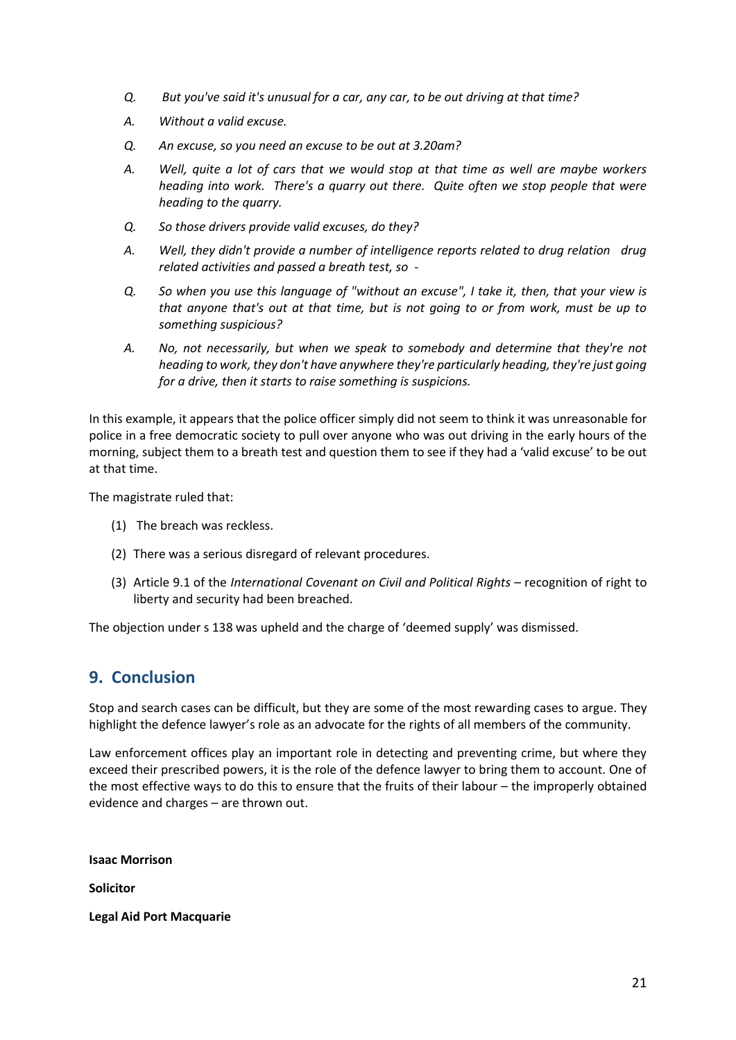- *Q. But you've said it's unusual for a car, any car, to be out driving at that time?*
- *A. Without a valid excuse.*
- *Q. An excuse, so you need an excuse to be out at 3.20am?*
- *A. Well, quite a lot of cars that we would stop at that time as well are maybe workers heading into work. There's a quarry out there. Quite often we stop people that were heading to the quarry.*
- *Q. So those drivers provide valid excuses, do they?*
- *A. Well, they didn't provide a number of intelligence reports related to drug relation drug related activities and passed a breath test, so -*
- *Q. So when you use this language of "without an excuse", I take it, then, that your view is that anyone that's out at that time, but is not going to or from work, must be up to something suspicious?*
- *A. No, not necessarily, but when we speak to somebody and determine that they're not heading to work, they don't have anywhere they're particularly heading, they're just going for a drive, then it starts to raise something is suspicions.*

In this example, it appears that the police officer simply did not seem to think it was unreasonable for police in a free democratic society to pull over anyone who was out driving in the early hours of the morning, subject them to a breath test and question them to see if they had a 'valid excuse' to be out at that time.

The magistrate ruled that:

- (1) The breach was reckless.
- (2) There was a serious disregard of relevant procedures.
- (3) Article 9.1 of the *International Covenant on Civil and Political Rights* recognition of right to liberty and security had been breached.

The objection under s 138 was upheld and the charge of 'deemed supply' was dismissed.

# **9. Conclusion**

Stop and search cases can be difficult, but they are some of the most rewarding cases to argue. They highlight the defence lawyer's role as an advocate for the rights of all members of the community.

Law enforcement offices play an important role in detecting and preventing crime, but where they exceed their prescribed powers, it is the role of the defence lawyer to bring them to account. One of the most effective ways to do this to ensure that the fruits of their labour – the improperly obtained evidence and charges – are thrown out.

**Isaac Morrison**

**Solicitor**

**Legal Aid Port Macquarie**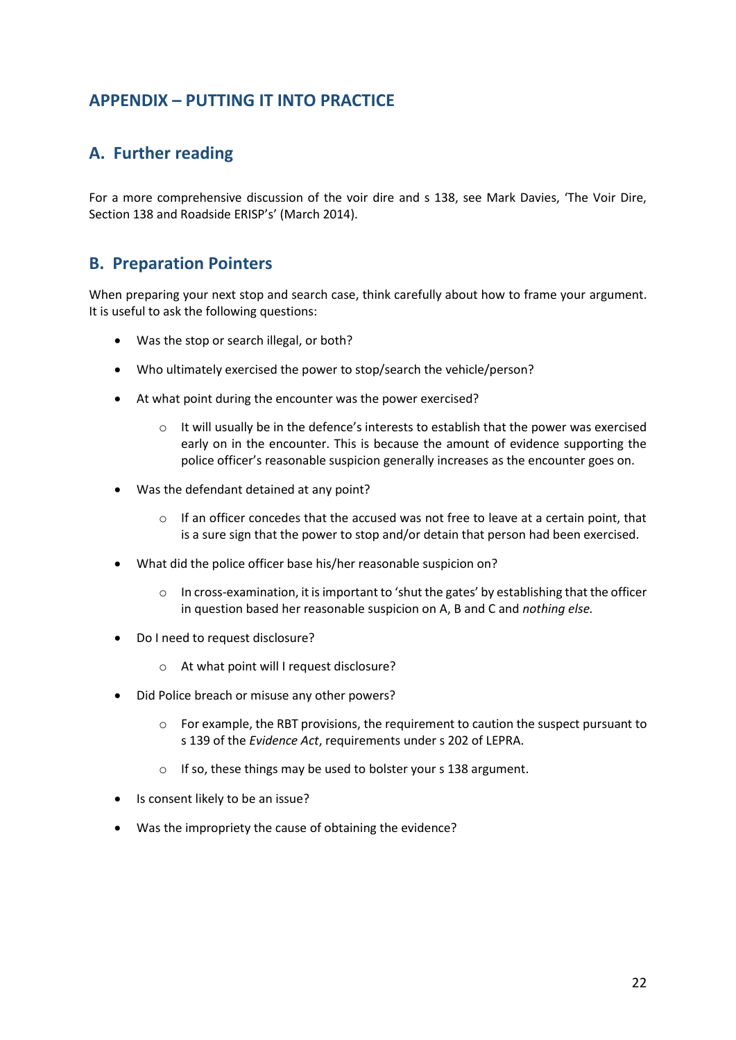# **APPENDIX – PUTTING IT INTO PRACTICE**

# **A. Further reading**

For a more comprehensive discussion of the voir dire and s 138, see Mark Davies, 'The Voir Dire, Section 138 and Roadside ERISP's' (March 2014).

### **B. Preparation Pointers**

When preparing your next stop and search case, think carefully about how to frame your argument. It is useful to ask the following questions:

- Was the stop or search illegal, or both?
- Who ultimately exercised the power to stop/search the vehicle/person?
- At what point during the encounter was the power exercised?
	- $\circ$  It will usually be in the defence's interests to establish that the power was exercised early on in the encounter. This is because the amount of evidence supporting the police officer's reasonable suspicion generally increases as the encounter goes on.
- Was the defendant detained at any point?
	- $\circ$  If an officer concedes that the accused was not free to leave at a certain point, that is a sure sign that the power to stop and/or detain that person had been exercised.
- What did the police officer base his/her reasonable suspicion on?
	- $\circ$  In cross-examination, it is important to 'shut the gates' by establishing that the officer in question based her reasonable suspicion on A, B and C and *nothing else.*
- Do I need to request disclosure?
	- o At what point will I request disclosure?
- Did Police breach or misuse any other powers?
	- $\circ$  For example, the RBT provisions, the requirement to caution the suspect pursuant to s 139 of the *Evidence Act*, requirements under s 202 of LEPRA.
	- o If so, these things may be used to bolster your s 138 argument.
- Is consent likely to be an issue?
- Was the impropriety the cause of obtaining the evidence?